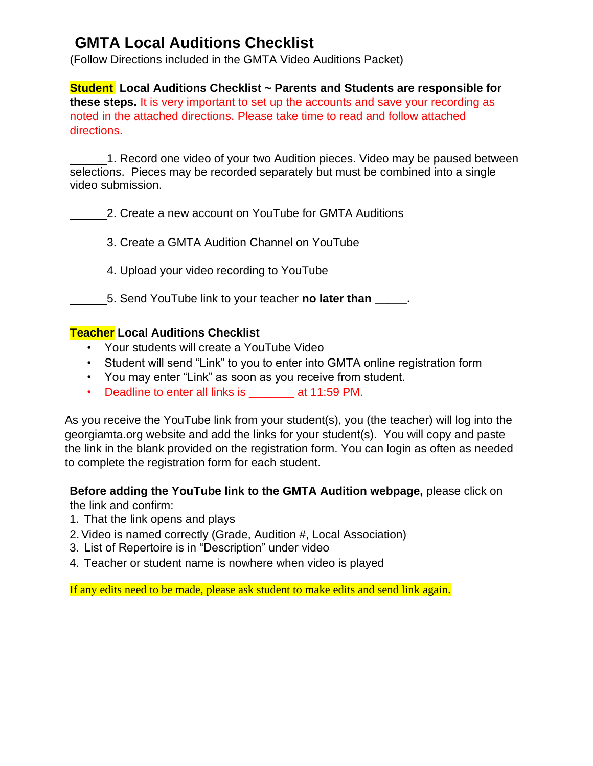## **GMTA Local Auditions Checklist**

(Follow Directions included in the GMTA Video Auditions Packet)

**Student Local Auditions Checklist ~ Parents and Students are responsible for these steps.** It is very important to set up the accounts and save your recording as noted in the attached directions. Please take time to read and follow attached directions.

1. Record one video of your two Audition pieces. Video may be paused between selections. Pieces may be recorded separately but must be combined into a single video submission.

2. Create a new account on YouTube for GMTA Auditions

3. Create a GMTA Audition Channel on YouTube

4. Upload your video recording to YouTube

5. Send YouTube link to your teacher **no later than \_\_\_\_\_.**

## **Teacher Local Auditions Checklist**

- Your students will create a YouTube Video
- Student will send "Link" to you to enter into GMTA online registration form
- You may enter "Link" as soon as you receive from student.
- Deadline to enter all links is \_\_\_\_\_\_\_ at 11:59 PM.

As you receive the YouTube link from your student(s), you (the teacher) will log into the georgiamta.org website and add the links for your student(s). You will copy and paste the link in the blank provided on the registration form. You can login as often as needed to complete the registration form for each student.

## **Before adding the YouTube link to the GMTA Audition webpage,** please click on

the link and confirm:

- 1. That the link opens and plays
- 2.Video is named correctly (Grade, Audition #, Local Association)
- 3. List of Repertoire is in "Description" under video
- 4. Teacher or student name is nowhere when video is played

If any edits need to be made, please ask student to make edits and send link again.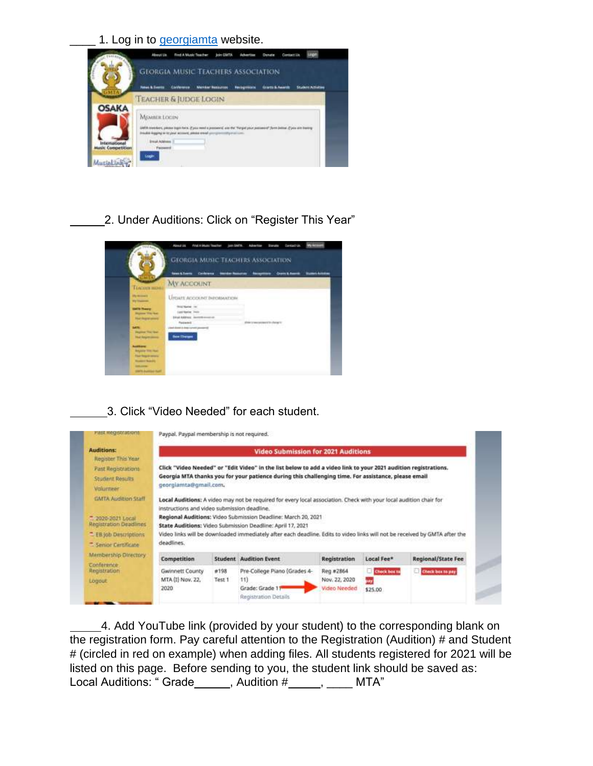1. Log in to [georgiamta](https://georgiamta.org/) [w](https://georgiamta.org/)ebsite.



2. Under Auditions: Click on "Register This Year"



3. Click "Video Needed" for each student.



4. Add YouTube link (provided by your student) to the corresponding blank on the registration form. Pay careful attention to the Registration (Audition) # and Student # (circled in red on example) when adding files. All students registered for 2021 will be listed on this page. Before sending to you, the student link should be saved as: Local Auditions: " Grade \_\_\_\_\_, Audition # \_\_\_\_, \_\_\_\_ MTA"